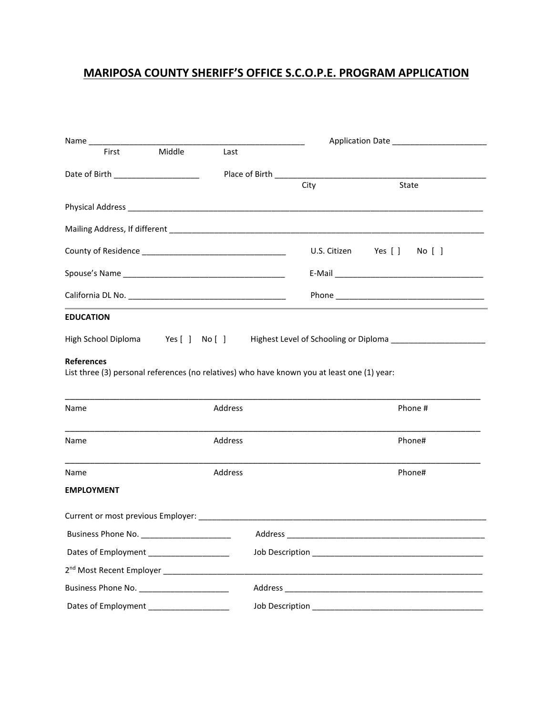## **MARIPOSA COUNTY SHERIFF'S OFFICE S.C.O.P.E. PROGRAM APPLICATION**

|                    |                                                         |         |      | Application Date _________________________                                                          |  |  |  |
|--------------------|---------------------------------------------------------|---------|------|-----------------------------------------------------------------------------------------------------|--|--|--|
| First              | Middle                                                  | Last    |      |                                                                                                     |  |  |  |
|                    | Date of Birth _______________________                   |         |      |                                                                                                     |  |  |  |
|                    |                                                         |         | City | State                                                                                               |  |  |  |
|                    |                                                         |         |      |                                                                                                     |  |  |  |
|                    |                                                         |         |      |                                                                                                     |  |  |  |
|                    |                                                         |         |      | U.S. Citizen Yes [ ] No [ ]                                                                         |  |  |  |
|                    |                                                         |         |      |                                                                                                     |  |  |  |
|                    |                                                         |         |      |                                                                                                     |  |  |  |
| <b>EDUCATION</b>   |                                                         |         |      |                                                                                                     |  |  |  |
|                    |                                                         |         |      | High School Diploma Yes [ ] No [ ] Highest Level of Schooling or Diploma __________________________ |  |  |  |
| Name               |                                                         | Address |      | Phone #                                                                                             |  |  |  |
| Name               |                                                         | Address |      | Phone#                                                                                              |  |  |  |
| Name               |                                                         | Address |      | Phone#                                                                                              |  |  |  |
| <b>EMPLOYMENT</b>  |                                                         |         |      |                                                                                                     |  |  |  |
|                    |                                                         |         |      |                                                                                                     |  |  |  |
|                    |                                                         |         |      |                                                                                                     |  |  |  |
| Business Phone No. |                                                         | Address |      |                                                                                                     |  |  |  |
|                    |                                                         |         |      |                                                                                                     |  |  |  |
|                    | 2 <sup>nd</sup> Most Recent Employer __________________ |         |      |                                                                                                     |  |  |  |
|                    | Business Phone No. _______________________              |         |      |                                                                                                     |  |  |  |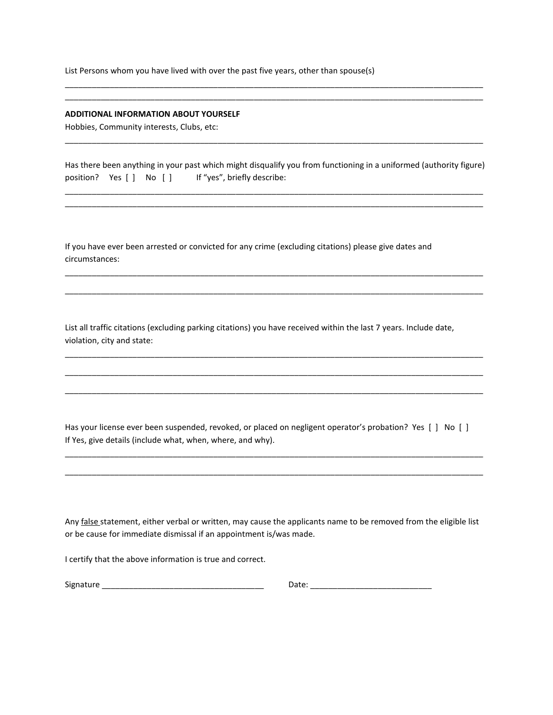List Persons whom you have lived with over the past five years, other than spouse(s)

### **ADDITIONAL INFORMATION ABOUT YOURSELF**

Hobbies, Community interests, Clubs, etc:

|                          |  |                             | Has there been anything in your past which might disqualify you from functioning in a uniformed (authority figure) |  |
|--------------------------|--|-----------------------------|--------------------------------------------------------------------------------------------------------------------|--|
| position? Yes [ ] No [ ] |  | If "yes", briefly describe: |                                                                                                                    |  |

\_\_\_\_\_\_\_\_\_\_\_\_\_\_\_\_\_\_\_\_\_\_\_\_\_\_\_\_\_\_\_\_\_\_\_\_\_\_\_\_\_\_\_\_\_\_\_\_\_\_\_\_\_\_\_\_\_\_\_\_\_\_\_\_\_\_\_\_\_\_\_\_\_\_\_\_\_\_\_\_\_\_\_\_\_\_\_\_\_\_\_\_\_ \_\_\_\_\_\_\_\_\_\_\_\_\_\_\_\_\_\_\_\_\_\_\_\_\_\_\_\_\_\_\_\_\_\_\_\_\_\_\_\_\_\_\_\_\_\_\_\_\_\_\_\_\_\_\_\_\_\_\_\_\_\_\_\_\_\_\_\_\_\_\_\_\_\_\_\_\_\_\_\_\_\_\_\_\_\_\_\_\_\_\_\_\_

\_\_\_\_\_\_\_\_\_\_\_\_\_\_\_\_\_\_\_\_\_\_\_\_\_\_\_\_\_\_\_\_\_\_\_\_\_\_\_\_\_\_\_\_\_\_\_\_\_\_\_\_\_\_\_\_\_\_\_\_\_\_\_\_\_\_\_\_\_\_\_\_\_\_\_\_\_\_\_\_\_\_\_\_\_\_\_\_\_\_\_\_\_

\_\_\_\_\_\_\_\_\_\_\_\_\_\_\_\_\_\_\_\_\_\_\_\_\_\_\_\_\_\_\_\_\_\_\_\_\_\_\_\_\_\_\_\_\_\_\_\_\_\_\_\_\_\_\_\_\_\_\_\_\_\_\_\_\_\_\_\_\_\_\_\_\_\_\_\_\_\_\_\_\_\_\_\_\_\_\_\_\_\_\_\_\_

\_\_\_\_\_\_\_\_\_\_\_\_\_\_\_\_\_\_\_\_\_\_\_\_\_\_\_\_\_\_\_\_\_\_\_\_\_\_\_\_\_\_\_\_\_\_\_\_\_\_\_\_\_\_\_\_\_\_\_\_\_\_\_\_\_\_\_\_\_\_\_\_\_\_\_\_\_\_\_\_\_\_\_\_\_\_\_\_\_\_\_\_\_

\_\_\_\_\_\_\_\_\_\_\_\_\_\_\_\_\_\_\_\_\_\_\_\_\_\_\_\_\_\_\_\_\_\_\_\_\_\_\_\_\_\_\_\_\_\_\_\_\_\_\_\_\_\_\_\_\_\_\_\_\_\_\_\_\_\_\_\_\_\_\_\_\_\_\_\_\_\_\_\_\_\_\_\_\_\_\_\_\_\_\_\_\_

\_\_\_\_\_\_\_\_\_\_\_\_\_\_\_\_\_\_\_\_\_\_\_\_\_\_\_\_\_\_\_\_\_\_\_\_\_\_\_\_\_\_\_\_\_\_\_\_\_\_\_\_\_\_\_\_\_\_\_\_\_\_\_\_\_\_\_\_\_\_\_\_\_\_\_\_\_\_\_\_\_\_\_\_\_\_\_\_\_\_\_\_\_

\_\_\_\_\_\_\_\_\_\_\_\_\_\_\_\_\_\_\_\_\_\_\_\_\_\_\_\_\_\_\_\_\_\_\_\_\_\_\_\_\_\_\_\_\_\_\_\_\_\_\_\_\_\_\_\_\_\_\_\_\_\_\_\_\_\_\_\_\_\_\_\_\_\_\_\_\_\_\_\_\_\_\_\_\_\_\_\_\_\_\_\_\_

\_\_\_\_\_\_\_\_\_\_\_\_\_\_\_\_\_\_\_\_\_\_\_\_\_\_\_\_\_\_\_\_\_\_\_\_\_\_\_\_\_\_\_\_\_\_\_\_\_\_\_\_\_\_\_\_\_\_\_\_\_\_\_\_\_\_\_\_\_\_\_\_\_\_\_\_\_\_\_\_\_\_\_\_\_\_\_\_\_\_\_\_\_ \_\_\_\_\_\_\_\_\_\_\_\_\_\_\_\_\_\_\_\_\_\_\_\_\_\_\_\_\_\_\_\_\_\_\_\_\_\_\_\_\_\_\_\_\_\_\_\_\_\_\_\_\_\_\_\_\_\_\_\_\_\_\_\_\_\_\_\_\_\_\_\_\_\_\_\_\_\_\_\_\_\_\_\_\_\_\_\_\_\_\_\_\_

If you have ever been arrested or convicted for any crime (excluding citations) please give dates and circumstances:

List all traffic citations (excluding parking citations) you have received within the last 7 years. Include date, violation, city and state:

Has your license ever been suspended, revoked, or placed on negligent operator's probation? Yes [ ] No [ ] If Yes, give details (include what, when, where, and why).

\_\_\_\_\_\_\_\_\_\_\_\_\_\_\_\_\_\_\_\_\_\_\_\_\_\_\_\_\_\_\_\_\_\_\_\_\_\_\_\_\_\_\_\_\_\_\_\_\_\_\_\_\_\_\_\_\_\_\_\_\_\_\_\_\_\_\_\_\_\_\_\_\_\_\_\_\_\_\_\_\_\_\_\_\_\_\_\_\_\_\_\_\_

\_\_\_\_\_\_\_\_\_\_\_\_\_\_\_\_\_\_\_\_\_\_\_\_\_\_\_\_\_\_\_\_\_\_\_\_\_\_\_\_\_\_\_\_\_\_\_\_\_\_\_\_\_\_\_\_\_\_\_\_\_\_\_\_\_\_\_\_\_\_\_\_\_\_\_\_\_\_\_\_\_\_\_\_\_\_\_\_\_\_\_\_\_

Any false statement, either verbal or written, may cause the applicants name to be removed from the eligible list or be cause for immediate dismissal if an appointment is/was made.

I certify that the above information is true and correct.

| Signature<br>____ |  |
|-------------------|--|
|-------------------|--|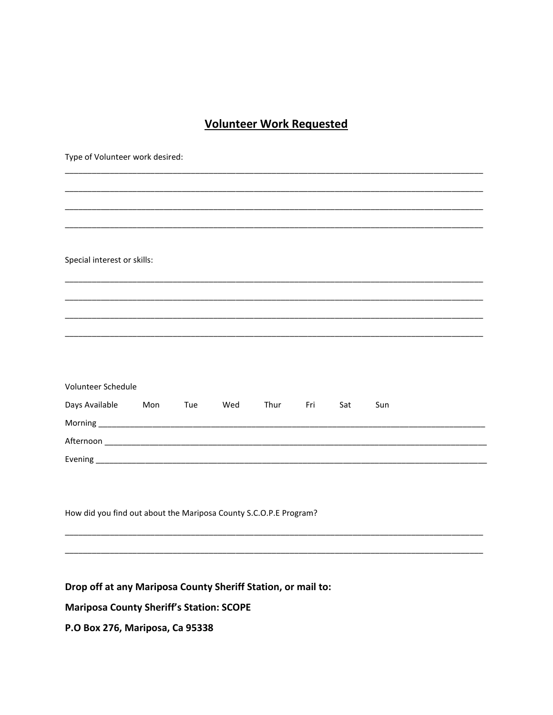## **Volunteer Work Requested**

| Type of Volunteer work desired:                                   |     |     |     |      |     |     |     |  |
|-------------------------------------------------------------------|-----|-----|-----|------|-----|-----|-----|--|
|                                                                   |     |     |     |      |     |     |     |  |
|                                                                   |     |     |     |      |     |     |     |  |
|                                                                   |     |     |     |      |     |     |     |  |
|                                                                   |     |     |     |      |     |     |     |  |
| Special interest or skills:                                       |     |     |     |      |     |     |     |  |
|                                                                   |     |     |     |      |     |     |     |  |
|                                                                   |     |     |     |      |     |     |     |  |
|                                                                   |     |     |     |      |     |     |     |  |
|                                                                   |     |     |     |      |     |     |     |  |
|                                                                   |     |     |     |      |     |     |     |  |
| Volunteer Schedule                                                |     |     |     |      |     |     |     |  |
| Days Available                                                    | Mon | Tue | Wed | Thur | Fri | Sat | Sun |  |
|                                                                   |     |     |     |      |     |     |     |  |
|                                                                   |     |     |     |      |     |     |     |  |
|                                                                   |     |     |     |      |     |     |     |  |
|                                                                   |     |     |     |      |     |     |     |  |
|                                                                   |     |     |     |      |     |     |     |  |
| How did you find out about the Mariposa County S.C.O.P.E Program? |     |     |     |      |     |     |     |  |
|                                                                   |     |     |     |      |     |     |     |  |
|                                                                   |     |     |     |      |     |     |     |  |

## Drop off at any Mariposa County Sheriff Station, or mail to:

**Mariposa County Sheriff's Station: SCOPE** 

P.O Box 276, Mariposa, Ca 95338